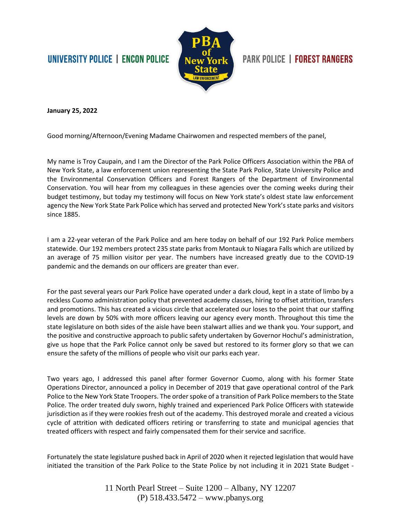## UNIVERSITY POLICE | ENCON POLICE



## **PARK POLICE | FOREST RANGERS**

**January 25, 2022**

Good morning/Afternoon/Evening Madame Chairwomen and respected members of the panel,

My name is Troy Caupain, and I am the Director of the Park Police Officers Association within the PBA of New York State, a law enforcement union representing the State Park Police, State University Police and the Environmental Conservation Officers and Forest Rangers of the Department of Environmental Conservation. You will hear from my colleagues in these agencies over the coming weeks during their budget testimony, but today my testimony will focus on New York state's oldest state law enforcement agency the New York State Park Police which has served and protected New York's state parks and visitors since 1885.

I am a 22-year veteran of the Park Police and am here today on behalf of our 192 Park Police members statewide. Our 192 members protect 235 state parks from Montauk to Niagara Falls which are utilized by an average of 75 million visitor per year. The numbers have increased greatly due to the COVID-19 pandemic and the demands on our officers are greater than ever.

For the past several years our Park Police have operated under a dark cloud, kept in a state of limbo by a reckless Cuomo administration policy that prevented academy classes, hiring to offset attrition, transfers and promotions. This has created a vicious circle that accelerated our loses to the point that our staffing levels are down by 50% with more officers leaving our agency every month. Throughout this time the state legislature on both sides of the aisle have been stalwart allies and we thank you. Your support, and the positive and constructive approach to public safety undertaken by Governor Hochul's administration, give us hope that the Park Police cannot only be saved but restored to its former glory so that we can ensure the safety of the millions of people who visit our parks each year.

Two years ago, I addressed this panel after former Governor Cuomo, along with his former State Operations Director, announced a policy in December of 2019 that gave operational control of the Park Police to the New York State Troopers. The order spoke of a transition of Park Police members to the State Police. The order treated duly sworn, highly trained and experienced Park Police Officers with statewide jurisdiction as if they were rookies fresh out of the academy. This destroyed morale and created a vicious cycle of attrition with dedicated officers retiring or transferring to state and municipal agencies that treated officers with respect and fairly compensated them for their service and sacrifice.

Fortunately the state legislature pushed back in April of 2020 when it rejected legislation that would have initiated the transition of the Park Police to the State Police by not including it in 2021 State Budget -

> 11 North Pearl Street – Suite 1200 – Albany, NY 12207 (P) 518.433.5472 – www.pbanys.org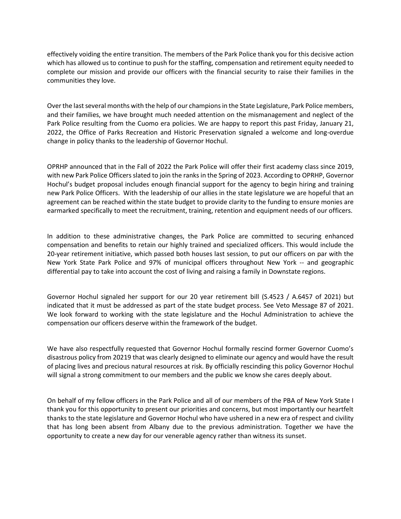effectively voiding the entire transition. The members of the Park Police thank you for this decisive action which has allowed us to continue to push for the staffing, compensation and retirement equity needed to complete our mission and provide our officers with the financial security to raise their families in the communities they love.

Over the last several months with the help of our champions in the State Legislature, Park Police members, and their families, we have brought much needed attention on the mismanagement and neglect of the Park Police resulting from the Cuomo era policies. We are happy to report this past Friday, January 21, 2022, the Office of Parks Recreation and Historic Preservation signaled a welcome and long-overdue change in policy thanks to the leadership of Governor Hochul.

OPRHP announced that in the Fall of 2022 the Park Police will offer their first academy class since 2019, with new Park Police Officers slated to join the ranks in the Spring of 2023. According to OPRHP, Governor Hochul's budget proposal includes enough financial support for the agency to begin hiring and training new Park Police Officers. With the leadership of our allies in the state legislature we are hopeful that an agreement can be reached within the state budget to provide clarity to the funding to ensure monies are earmarked specifically to meet the recruitment, training, retention and equipment needs of our officers.

In addition to these administrative changes, the Park Police are committed to securing enhanced compensation and benefits to retain our highly trained and specialized officers. This would include the 20-year retirement initiative, which passed both houses last session, to put our officers on par with the New York State Park Police and 97% of municipal officers throughout New York -- and geographic differential pay to take into account the cost of living and raising a family in Downstate regions.

Governor Hochul signaled her support for our 20 year retirement bill (S.4523 / A.6457 of 2021) but indicated that it must be addressed as part of the state budget process. See Veto Message 87 of 2021. We look forward to working with the state legislature and the Hochul Administration to achieve the compensation our officers deserve within the framework of the budget.

We have also respectfully requested that Governor Hochul formally rescind former Governor Cuomo's disastrous policy from 20219 that was clearly designed to eliminate our agency and would have the result of placing lives and precious natural resources at risk. By officially rescinding this policy Governor Hochul will signal a strong commitment to our members and the public we know she cares deeply about.

On behalf of my fellow officers in the Park Police and all of our members of the PBA of New York State I thank you for this opportunity to present our priorities and concerns, but most importantly our heartfelt thanks to the state legislature and Governor Hochul who have ushered in a new era of respect and civility that has long been absent from Albany due to the previous administration. Together we have the opportunity to create a new day for our venerable agency rather than witness its sunset.